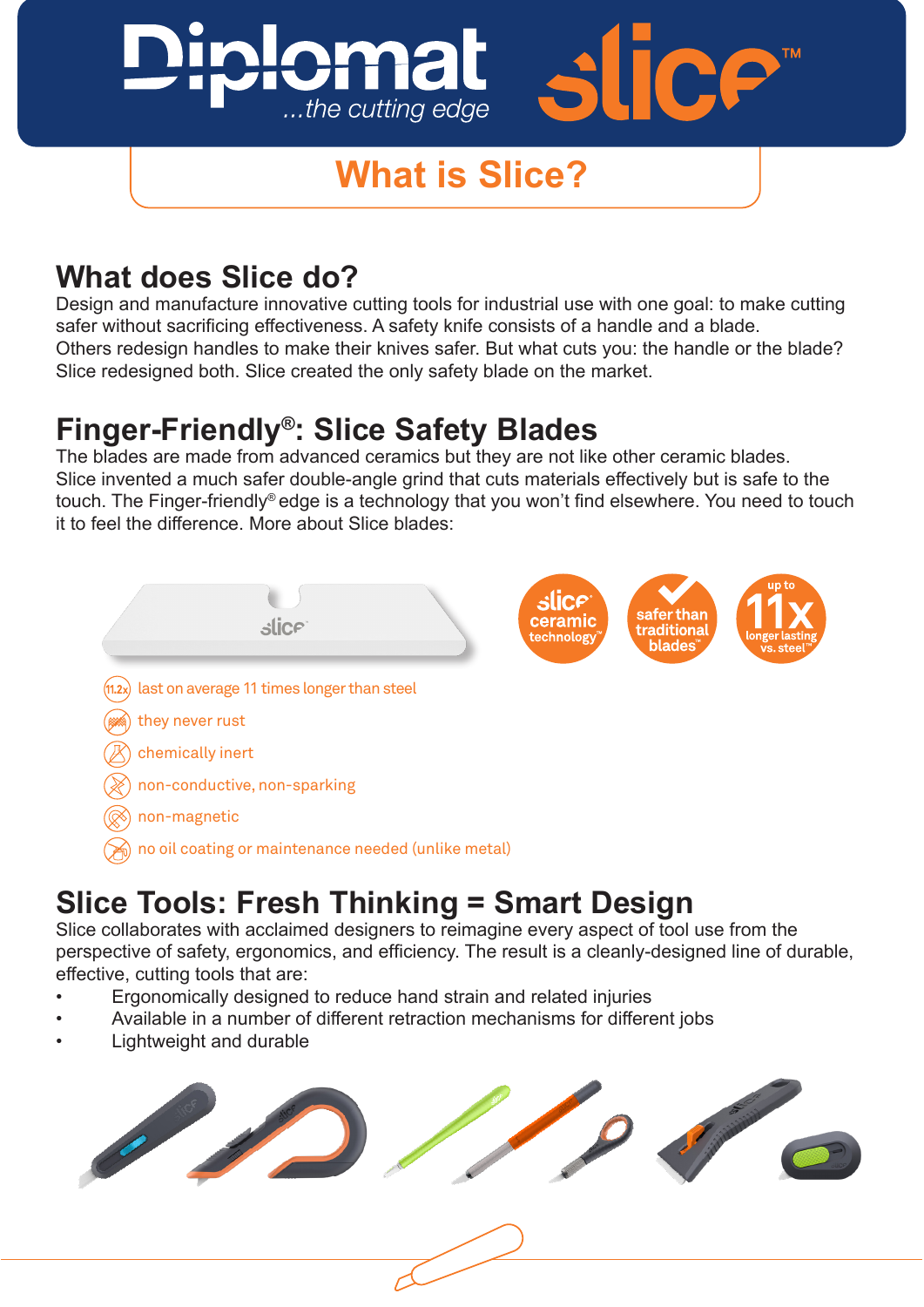## handles to make their knives safer. But what cuts you: the handle or the blade? Slice redesigned both. SIMPLATED THE MARKET ...the cutting edge

## **What is Slice?**

## **What does Slice do?** The perspective of tool use from the perspective of tool use from the perspective of tool use from the perspective of tool use from the perspective of tool use from the perspective of tool use from th

Design and manufacture innovative cutting tools for industrial use with one goal: to make cutting safer without sacrificing effectiveness. A safety knife consists of a handle and a blade. Others redesign handles to make their knives safer. But what cuts you: the handle or the blade? Slice redesigned both. Slice created the only safety blade on the market. • Lightweight and durable

### **Finger-Friendly®: Slice Safety Blades**

The blades are made from advanced ceramics but they are not like other ceramic blades.<br>Clien invented a mush as family blade and a mind that sute materials offertively but is as factor Slice invented a much safer double-angle grind that cuts materials effectively but is safe to the touch. The Finger-friendly® edge is a technology that you won't find elsewhere. You need to touch it to feel the difference. More about Slice blades: feel and emproped more about once placed.



#### Slica Toole: Eroch Thinking – Smart Docian **Slice Tools: Fresh Thinking = Smart Design redesign**

Slice collaborates with acclaimed designers to reimagine every aspect of tool use from the perspective of safety, ergonomics, and efficiency. The result is a cleanly-designed line of durable, effective, cutting tools that are:

• Ergonomically designed to reduce hand strain and related injuries

 $\mathcal{A}$ 

 $\mathcal{A}^{\mathcal{A}}_{\mathcal{A}}$  and different retraction mechanisms for different  $\mathcal{A}^{\mathcal{A}}_{\mathcal{A}}$ 

- Available in a number of different retraction mechanisms for different jobs
- **•** Lightweight and durable

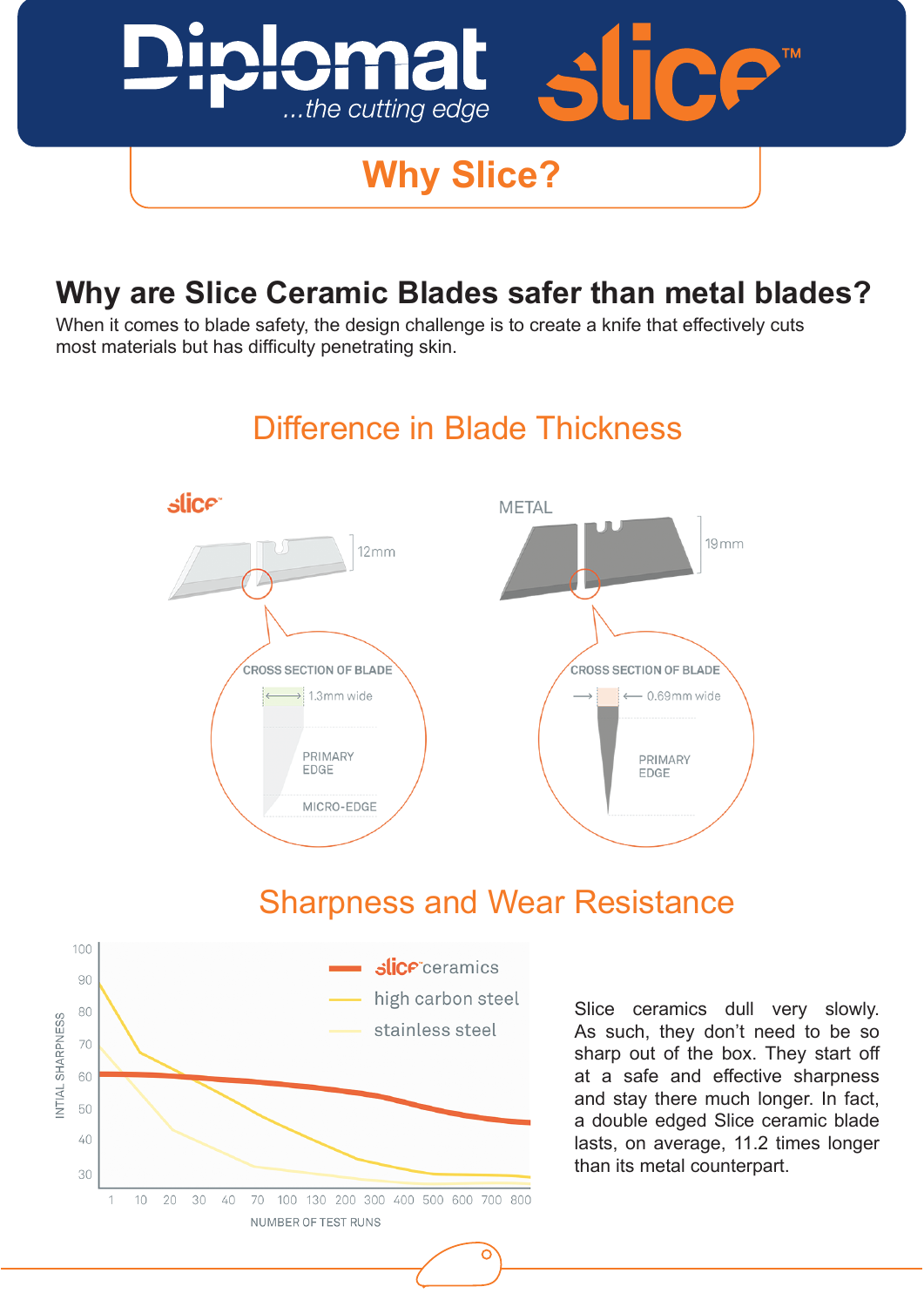

# **Example 2 Why Slice?**

Why Are Slice Ceramic Blades Safer Ceramic Blades Safer Ceramic Blades Safer Ceramic Blades Safer Ceramic Blades<br>The Slice Ceramic Blades Safer Ceramic Blades Safer Ceramic Blades Safer Ceramic Blades Safer Ceramic Blades

#### me Clies Companie Placked **Why are Slice Ceramic Blades safer than metal blades?**

When it comes to blade safety, the design challenge is to create a knife that effectively cuts When it comes to blade safety, the design challenge is to create a knife that effectively cuts most materials but has difficulty penetrating skin.



### Difference in Blade Thickness

### Sharpness and Wear Resistance



Image 4. The above results of third-party independent testing show that  $\mathcal{F}$ blades start out at the right sharpness to safely cut and maintain that sharpness for much

Slice ceramics dull very slowly. As such, they don't need to be so sharp out of the box. They start off at a safe and effective sharpness and stay there much longer. In fact, a double edged Slice ceramic blade lasts, on average, 11.2 times longer than its metal counterpart.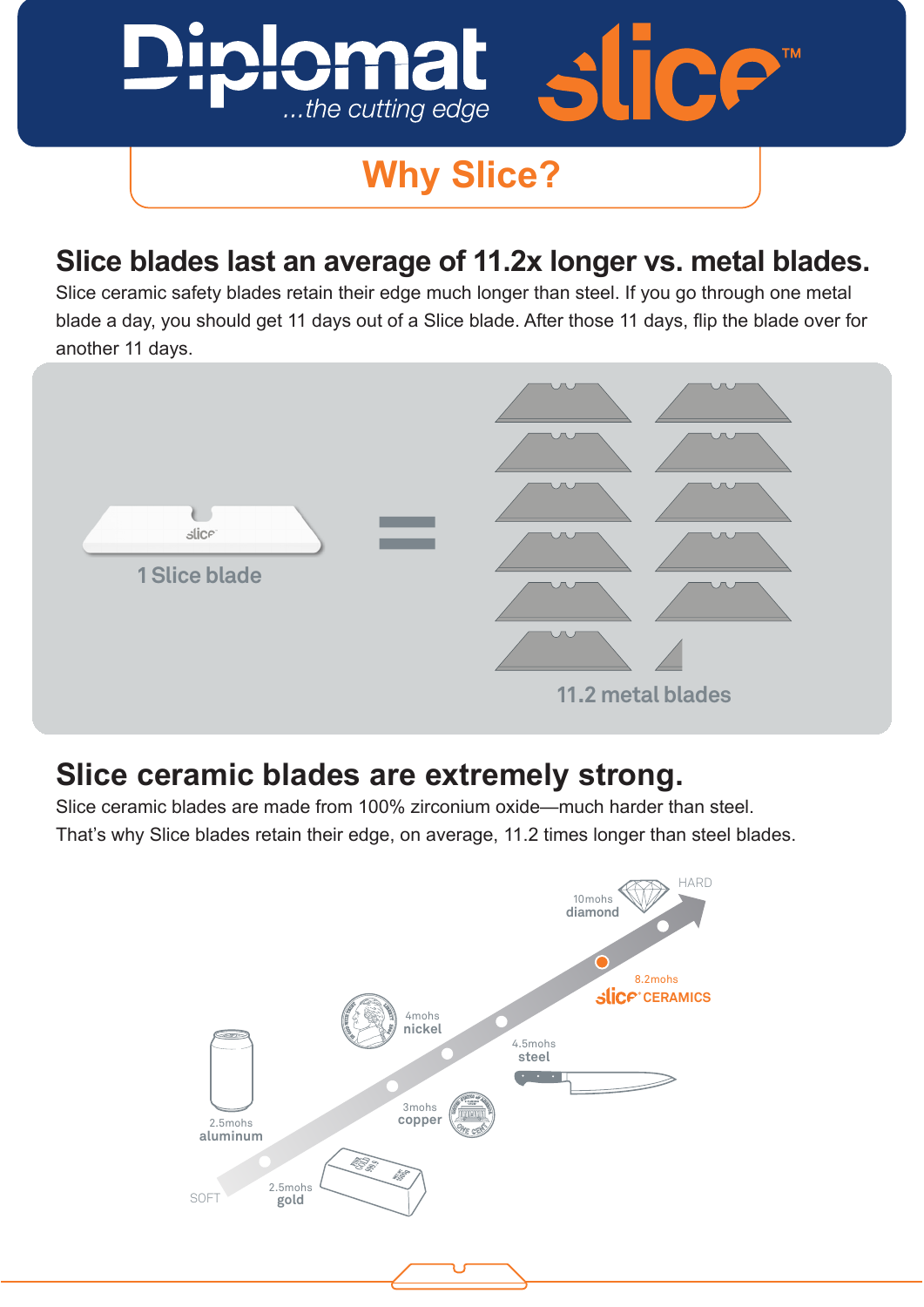

# **Why Slice?**

**Slice blades last an average of 11.2x longer**

#### **vs. metal blades. Slice blades last an average of 11.2x longer vs. metal blades.**

Slice ceramic safety blades retain their edge **much longer than steel**. Slice ceramic safety blades retain their edge much longer than steel. If you go through one metal blade a day, you should get 11 days out of a Slice blade. After those 11 days, flip the blade over for  $S$ another 11 days.



#### **Slice ceramic blades are extremely strong.**

Slice ceramic blades are made from 100% zirconium oxide—much harder than steel.<br>That's why Slice blades retain their edge, on average, 11.2 times longer than steel bla That's why Slice blades retain their edge, on average, 11.2 times longer than steel blades.